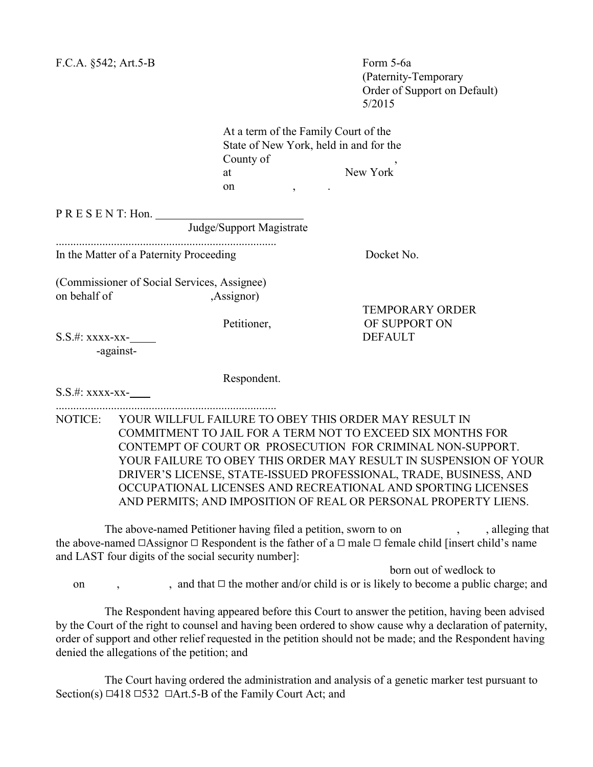F.C.A. §542; Art.5-B Form 5-6a

 (Paternity-Temporary Order of Support on Default) 5/2015

TEMPORARY ORDER

At a term of the Family Court of the State of New York, held in and for the County of at New York on , .

P R E S E N T: Hon.

Judge/Support Magistrate

............................................................................

In the Matter of a Paternity Proceeding Docket No.

(Commissioner of Social Services, Assignee) on behalf of ,Assignor)

Petitioner, OF SUPPORT ON

S.S.#: xxxx-xx- DEFAULT -against-

Respondent.

S.S.#: xxxx-xx-

............................................................................

NOTICE: YOUR WILLFUL FAILURE TO OBEY THIS ORDER MAY RESULT IN COMMITMENT TO JAIL FOR A TERM NOT TO EXCEED SIX MONTHS FOR CONTEMPT OF COURT OR PROSECUTION FOR CRIMINAL NON-SUPPORT. YOUR FAILURE TO OBEY THIS ORDER MAY RESULT IN SUSPENSION OF YOUR DRIVER'S LICENSE, STATE-ISSUED PROFESSIONAL, TRADE, BUSINESS, AND OCCUPATIONAL LICENSES AND RECREATIONAL AND SPORTING LICENSES AND PERMITS; AND IMPOSITION OF REAL OR PERSONAL PROPERTY LIENS.

The above-named Petitioner having filed a petition, sworn to on , , , alleging that the above-named  $\Box$ Assignor  $\Box$  Respondent is the father of a  $\Box$  male  $\Box$  female child [insert child's name and LAST four digits of the social security number]: born out of wedlock to

on , and that  $\Box$  the mother and/or child is or is likely to become a public charge; and

The Respondent having appeared before this Court to answer the petition, having been advised by the Court of the right to counsel and having been ordered to show cause why a declaration of paternity, order of support and other relief requested in the petition should not be made; and the Respondent having denied the allegations of the petition; and

The Court having ordered the administration and analysis of a genetic marker test pursuant to Section(s)  $\Box$ 418  $\Box$ 532  $\Box$ Art. 5-B of the Family Court Act; and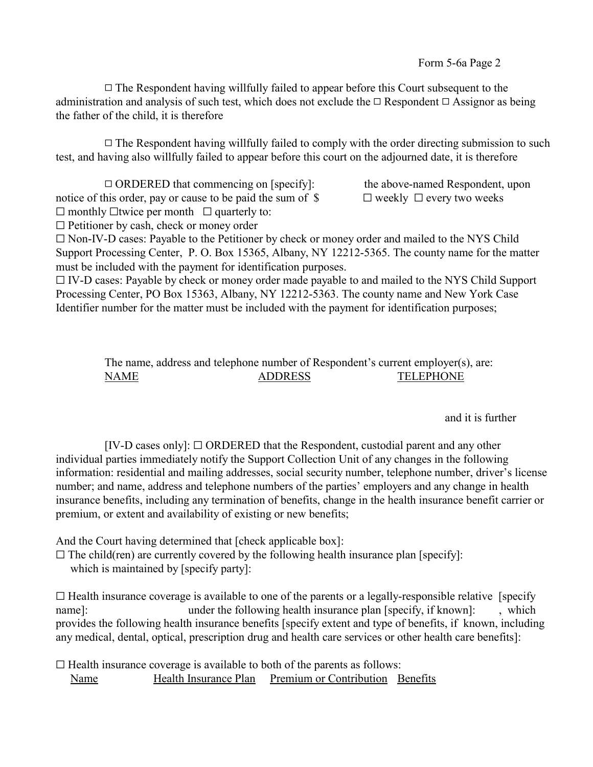$\Box$  The Respondent having willfully failed to appear before this Court subsequent to the administration and analysis of such test, which does not exclude the  $\Box$  Respondent  $\Box$  Assignor as being the father of the child, it is therefore

 $\Box$  The Respondent having willfully failed to comply with the order directing submission to such test, and having also willfully failed to appear before this court on the adjourned date, it is therefore

 $\Box$  ORDERED that commencing on [specify]: the above-named Respondent, upon notice of this order, pay or cause to be paid the sum of  $\S$   $\Box$  weekly  $\Box$  every two weeks

 $\Box$  monthly  $\Box$  twice per month  $\Box$  quarterly to:

 $\Box$  Petitioner by cash, check or money order

 $\Box$  Non-IV-D cases: Payable to the Petitioner by check or money order and mailed to the NYS Child Support Processing Center, P. O. Box 15365, Albany, NY 12212-5365. The county name for the matter must be included with the payment for identification purposes.

 $\Box$  IV-D cases: Payable by check or money order made payable to and mailed to the NYS Child Support Processing Center, PO Box 15363, Albany, NY 12212-5363. The county name and New York Case Identifier number for the matter must be included with the payment for identification purposes;

> The name, address and telephone number of Respondent's current employer(s), are: NAME ADDRESS TELEPHONE

> > and it is further

 $[IV-D]$  cases only]:  $\Box$  ORDERED that the Respondent, custodial parent and any other individual parties immediately notify the Support Collection Unit of any changes in the following information: residential and mailing addresses, social security number, telephone number, driver's license number; and name, address and telephone numbers of the parties' employers and any change in health insurance benefits, including any termination of benefits, change in the health insurance benefit carrier or premium, or extent and availability of existing or new benefits;

And the Court having determined that [check applicable box]:

 $\Box$  The child(ren) are currently covered by the following health insurance plan [specify]:

which is maintained by [specify party]:

 $\Box$  Health insurance coverage is available to one of the parents or a legally-responsible relative [specify] name]: under the following health insurance plan [specify, if known]: , which provides the following health insurance benefits [specify extent and type of benefits, if known, including any medical, dental, optical, prescription drug and health care services or other health care benefits]:

 $\Box$  Health insurance coverage is available to both of the parents as follows: Name Health Insurance Plan Premium or Contribution Benefits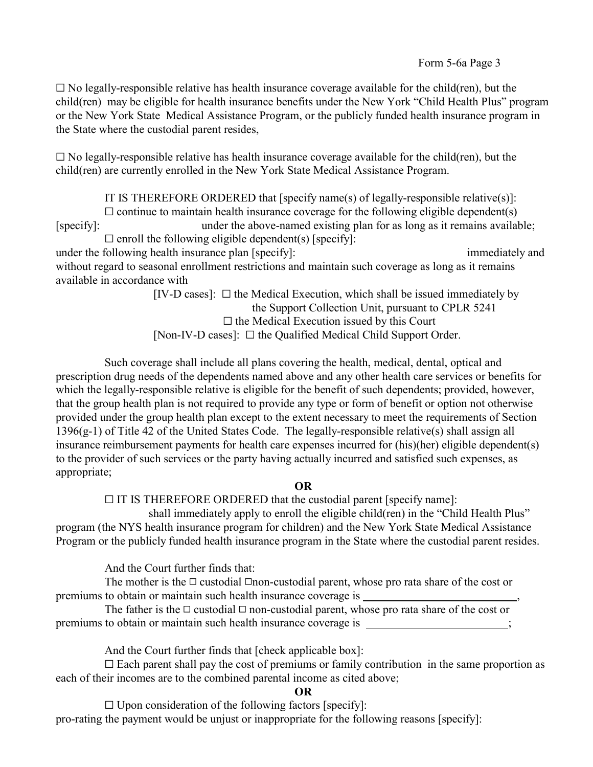$\Box$  No legally-responsible relative has health insurance coverage available for the child(ren), but the child(ren) may be eligible for health insurance benefits under the New York "Child Health Plus" program or the New York State Medical Assistance Program, or the publicly funded health insurance program in the State where the custodial parent resides,

 $\square$  No legally-responsible relative has health insurance coverage available for the child(ren), but the child(ren) are currently enrolled in the New York State Medical Assistance Program.

IT IS THEREFORE ORDERED that [specify name(s) of legally-responsible relative(s)]:  $\Box$  continue to maintain health insurance coverage for the following eligible dependent(s) [specify]: under the above-named existing plan for as long as it remains available;  $\Box$  enroll the following eligible dependent(s) [specify]: under the following health insurance plan [specify]: immediately and immediately and without regard to seasonal enrollment restrictions and maintain such coverage as long as it remains

available in accordance with  $[IV-D \ cases]$ :  $\square$  the Medical Execution, which shall be issued immediately by the Support Collection Unit, pursuant to CPLR 5241  $\Box$  the Medical Execution issued by this Court [Non-IV-D cases]:  $\Box$  the Qualified Medical Child Support Order.

Such coverage shall include all plans covering the health, medical, dental, optical and prescription drug needs of the dependents named above and any other health care services or benefits for which the legally-responsible relative is eligible for the benefit of such dependents; provided, however, that the group health plan is not required to provide any type or form of benefit or option not otherwise provided under the group health plan except to the extent necessary to meet the requirements of Section 1396(g-1) of Title 42 of the United States Code. The legally-responsible relative(s) shall assign all insurance reimbursement payments for health care expenses incurred for (his)(her) eligible dependent(s) to the provider of such services or the party having actually incurred and satisfied such expenses, as appropriate;

## OR

 $\Box$  IT IS THEREFORE ORDERED that the custodial parent [specify name]:

 shall immediately apply to enroll the eligible child(ren) in the "Child Health Plus" program (the NYS health insurance program for children) and the New York State Medical Assistance Program or the publicly funded health insurance program in the State where the custodial parent resides.

And the Court further finds that:

The mother is the  $\Box$  custodial  $\Box$ non-custodial parent, whose pro rata share of the cost or premiums to obtain or maintain such health insurance coverage is

The father is the  $\Box$  custodial  $\Box$  non-custodial parent, whose pro rata share of the cost or premiums to obtain or maintain such health insurance coverage is

And the Court further finds that [check applicable box]:

 $\square$  Each parent shall pay the cost of premiums or family contribution in the same proportion as each of their incomes are to the combined parental income as cited above;

OR

 $\Box$  Upon consideration of the following factors [specify]: pro-rating the payment would be unjust or inappropriate for the following reasons [specify]: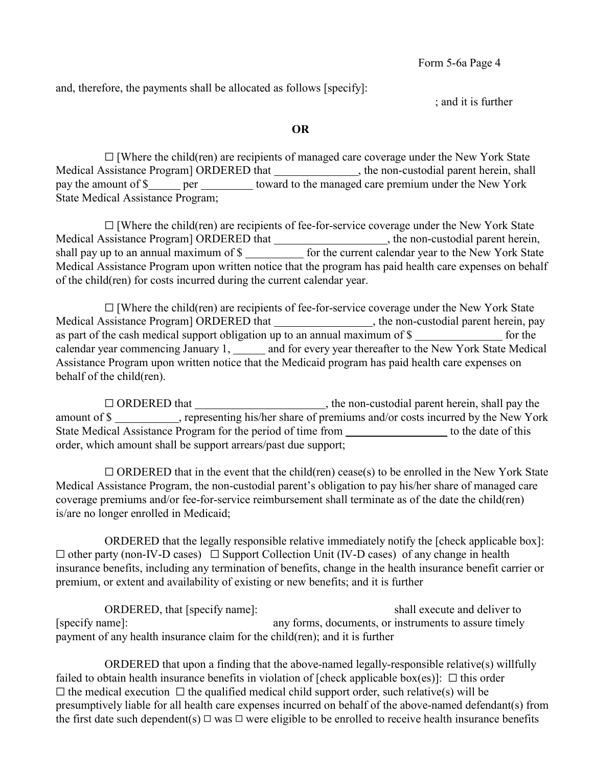and, therefore, the payments shall be allocated as follows [specify]:

; and it is further

#### OR

 $\Box$  [Where the child(ren) are recipients of managed care coverage under the New York State Medical Assistance Program] ORDERED that , the non-custodial parent herein, shall pay the amount of \$ per toward to the managed care premium under the New York State Medical Assistance Program;

 $\Box$  [Where the child(ren) are recipients of fee-for-service coverage under the New York State Medical Assistance Program] ORDERED that \_\_\_\_\_\_\_\_\_\_\_\_\_\_\_\_\_\_\_\_, the non-custodial parent herein, shall pay up to an annual maximum of \$ Medical Assistance Program upon written notice that the program has paid health care expenses on behalf of the child(ren) for costs incurred during the current calendar year.

 $\Box$  [Where the child(ren) are recipients of fee-for-service coverage under the New York State Medical Assistance Program] ORDERED that \_\_\_\_\_\_\_\_\_\_\_\_\_\_\_\_, the non-custodial parent herein, pay as part of the cash medical support obligation up to an annual maximum of \$ for the calendar year commencing January 1, \_\_\_\_\_ and for every year thereafter to the New York State Medical Assistance Program upon written notice that the Medicaid program has paid health care expenses on behalf of the child(ren).

 $\Box$  ORDERED that  $\Box$ , the non-custodial parent herein, shall pay the amount of \$ , representing his/her share of premiums and/or costs incurred by the New York State Medical Assistance Program for the period of time from which contains to the date of this order, which amount shall be support arrears/past due support;

 $\Box$  ORDERED that in the event that the child(ren) cease(s) to be enrolled in the New York State Medical Assistance Program, the non-custodial parent's obligation to pay his/her share of managed care coverage premiums and/or fee-for-service reimbursement shall terminate as of the date the child(ren) is/are no longer enrolled in Medicaid;

ORDERED that the legally responsible relative immediately notify the [check applicable box]:  $\Box$  other party (non-IV-D cases)  $\Box$  Support Collection Unit (IV-D cases) of any change in health insurance benefits, including any termination of benefits, change in the health insurance benefit carrier or premium, or extent and availability of existing or new benefits; and it is further

ORDERED, that [specify name]: shall execute and deliver to [specify name]: any forms, documents, or instruments to assure timely payment of any health insurance claim for the child(ren); and it is further

ORDERED that upon a finding that the above-named legally-responsible relative(s) willfully failed to obtain health insurance benefits in violation of [check applicable box(es)]:  $\Box$  this order  $\Box$  the medical execution  $\Box$  the qualified medical child support order, such relative(s) will be presumptively liable for all health care expenses incurred on behalf of the above-named defendant(s) from the first date such dependent(s)  $\Box$  was  $\Box$  were eligible to be enrolled to receive health insurance benefits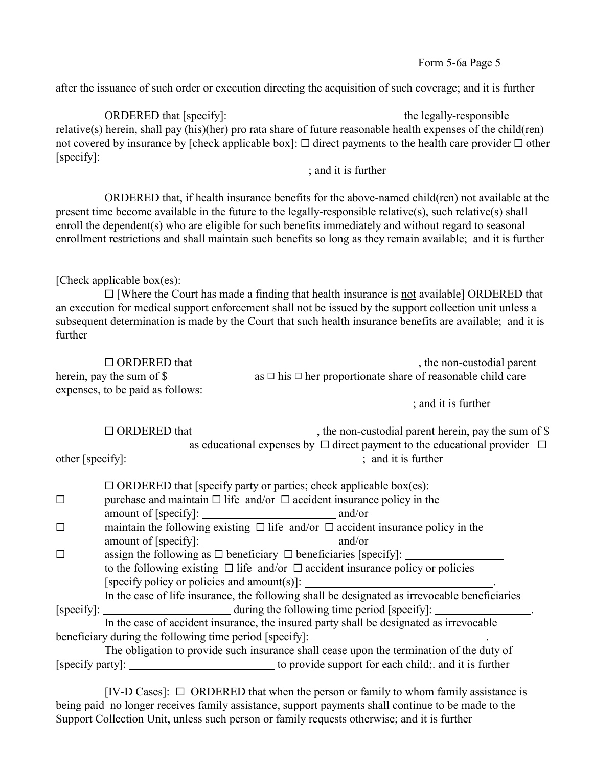after the issuance of such order or execution directing the acquisition of such coverage; and it is further

ORDERED that [specify]: the legally-responsible relative(s) herein, shall pay (his)(her) pro rata share of future reasonable health expenses of the child(ren) not covered by insurance by [check applicable box]:  $\Box$  direct payments to the health care provider  $\Box$  other [specify]:

; and it is further

ORDERED that, if health insurance benefits for the above-named child(ren) not available at the present time become available in the future to the legally-responsible relative(s), such relative(s) shall enroll the dependent(s) who are eligible for such benefits immediately and without regard to seasonal enrollment restrictions and shall maintain such benefits so long as they remain available; and it is further

# [Check applicable box $(es)$ :

 $\Box$  [Where the Court has made a finding that health insurance is not available] ORDERED that an execution for medical support enforcement shall not be issued by the support collection unit unless a subsequent determination is made by the Court that such health insurance benefits are available; and it is further

| $\Box$ ORDERED that              | , the non-custodial parent                                            |
|----------------------------------|-----------------------------------------------------------------------|
| herein, pay the sum of \$        | as $\Box$ his $\Box$ her proportionate share of reasonable child care |
| expenses, to be paid as follows: |                                                                       |
|                                  | $\cdots$ $\cdots$                                                     |

; and it is further

 $\Box$  ORDERED that , the non-custodial parent herein, pay the sum of \$ as educational expenses by  $\Box$  direct payment to the educational provider  $\Box$  $;$  and it is further

|  | other [specify]: |
|--|------------------|
|--|------------------|

| $\Box$ ORDERED that [specify party or parties; check applicable box(es):                      |  |
|-----------------------------------------------------------------------------------------------|--|
| purchase and maintain $\Box$ life and/or $\Box$ accident insurance policy in the              |  |
|                                                                                               |  |
| maintain the following existing $\Box$ life and/or $\Box$ accident insurance policy in the    |  |
|                                                                                               |  |
| assign the following as $\Box$ beneficiary $\Box$ beneficiaries [specify]:                    |  |
| to the following existing $\Box$ life and/or $\Box$ accident insurance policy or policies     |  |
| [specify policy or policies and amount(s)]: $\qquad \qquad$                                   |  |
| In the case of life insurance, the following shall be designated as irrevocable beneficiaries |  |
|                                                                                               |  |
| In the case of accident insurance, the insured party shall be designated as irrevocable       |  |
| beneficiary during the following time period [specify]: ________________________              |  |
| The obligation to provide such insurance shall cease upon the termination of the duty of      |  |
|                                                                                               |  |

[IV-D Cases]:  $\Box$  ORDERED that when the person or family to whom family assistance is being paid no longer receives family assistance, support payments shall continue to be made to the Support Collection Unit, unless such person or family requests otherwise; and it is further